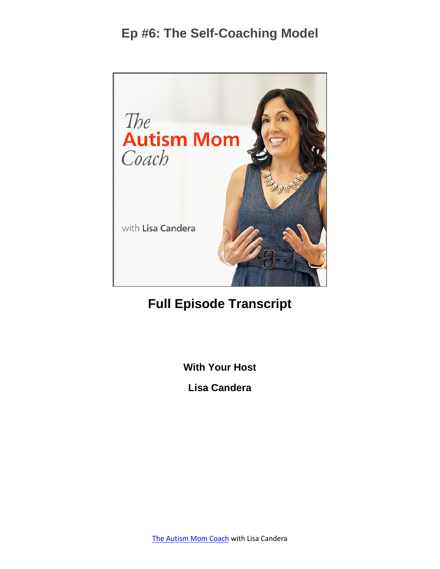

#### **Full Episode Transcript**

**With Your Host**

**Lisa Candera**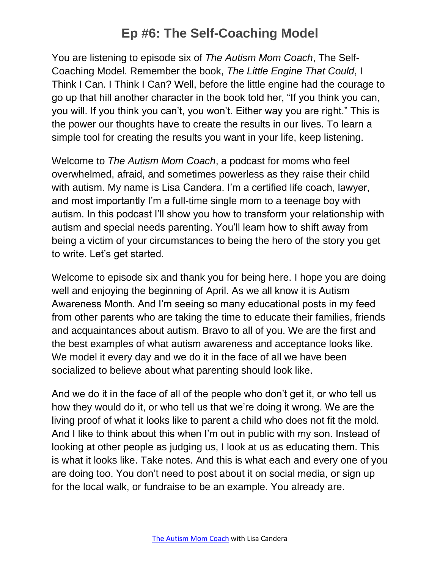You are listening to episode six of *The Autism Mom Coach*, The Self-Coaching Model. Remember the book, *The Little Engine That Could*, I Think I Can. I Think I Can? Well, before the little engine had the courage to go up that hill another character in the book told her, "If you think you can, you will. If you think you can't, you won't. Either way you are right." This is the power our thoughts have to create the results in our lives. To learn a simple tool for creating the results you want in your life, keep listening.

Welcome to *The Autism Mom Coach*, a podcast for moms who feel overwhelmed, afraid, and sometimes powerless as they raise their child with autism. My name is Lisa Candera. I'm a certified life coach, lawyer, and most importantly I'm a full-time single mom to a teenage boy with autism. In this podcast I'll show you how to transform your relationship with autism and special needs parenting. You'll learn how to shift away from being a victim of your circumstances to being the hero of the story you get to write. Let's get started.

Welcome to episode six and thank you for being here. I hope you are doing well and enjoying the beginning of April. As we all know it is Autism Awareness Month. And I'm seeing so many educational posts in my feed from other parents who are taking the time to educate their families, friends and acquaintances about autism. Bravo to all of you. We are the first and the best examples of what autism awareness and acceptance looks like. We model it every day and we do it in the face of all we have been socialized to believe about what parenting should look like.

And we do it in the face of all of the people who don't get it, or who tell us how they would do it, or who tell us that we're doing it wrong. We are the living proof of what it looks like to parent a child who does not fit the mold. And I like to think about this when I'm out in public with my son. Instead of looking at other people as judging us, I look at us as educating them. This is what it looks like. Take notes. And this is what each and every one of you are doing too. You don't need to post about it on social media, or sign up for the local walk, or fundraise to be an example. You already are.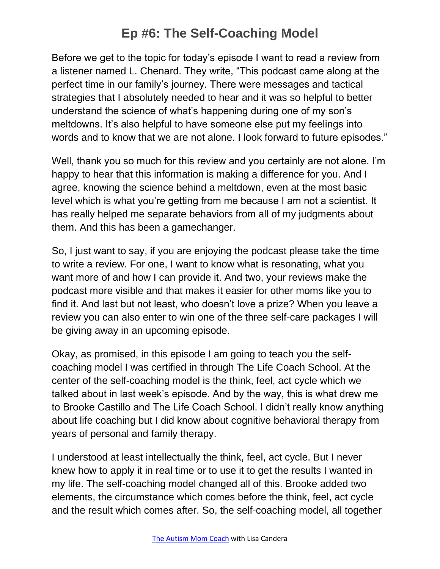Before we get to the topic for today's episode I want to read a review from a listener named L. Chenard. They write, "This podcast came along at the perfect time in our family's journey. There were messages and tactical strategies that I absolutely needed to hear and it was so helpful to better understand the science of what's happening during one of my son's meltdowns. It's also helpful to have someone else put my feelings into words and to know that we are not alone. I look forward to future episodes."

Well, thank you so much for this review and you certainly are not alone. I'm happy to hear that this information is making a difference for you. And I agree, knowing the science behind a meltdown, even at the most basic level which is what you're getting from me because I am not a scientist. It has really helped me separate behaviors from all of my judgments about them. And this has been a gamechanger.

So, I just want to say, if you are enjoying the podcast please take the time to write a review. For one, I want to know what is resonating, what you want more of and how I can provide it. And two, your reviews make the podcast more visible and that makes it easier for other moms like you to find it. And last but not least, who doesn't love a prize? When you leave a review you can also enter to win one of the three self-care packages I will be giving away in an upcoming episode.

Okay, as promised, in this episode I am going to teach you the selfcoaching model I was certified in through The Life Coach School. At the center of the self-coaching model is the think, feel, act cycle which we talked about in last week's episode. And by the way, this is what drew me to Brooke Castillo and The Life Coach School. I didn't really know anything about life coaching but I did know about cognitive behavioral therapy from years of personal and family therapy.

I understood at least intellectually the think, feel, act cycle. But I never knew how to apply it in real time or to use it to get the results I wanted in my life. The self-coaching model changed all of this. Brooke added two elements, the circumstance which comes before the think, feel, act cycle and the result which comes after. So, the self-coaching model, all together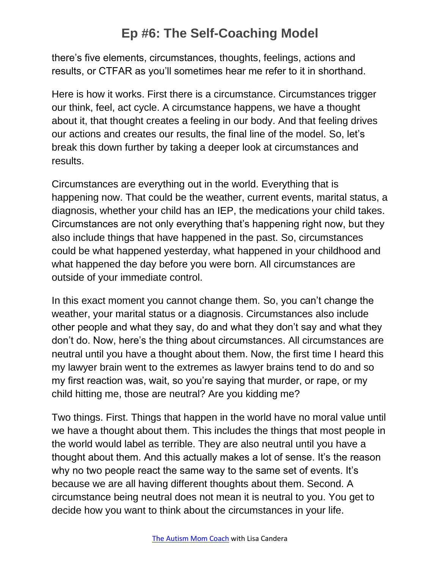there's five elements, circumstances, thoughts, feelings, actions and results, or CTFAR as you'll sometimes hear me refer to it in shorthand.

Here is how it works. First there is a circumstance. Circumstances trigger our think, feel, act cycle. A circumstance happens, we have a thought about it, that thought creates a feeling in our body. And that feeling drives our actions and creates our results, the final line of the model. So, let's break this down further by taking a deeper look at circumstances and results.

Circumstances are everything out in the world. Everything that is happening now. That could be the weather, current events, marital status, a diagnosis, whether your child has an IEP, the medications your child takes. Circumstances are not only everything that's happening right now, but they also include things that have happened in the past. So, circumstances could be what happened yesterday, what happened in your childhood and what happened the day before you were born. All circumstances are outside of your immediate control.

In this exact moment you cannot change them. So, you can't change the weather, your marital status or a diagnosis. Circumstances also include other people and what they say, do and what they don't say and what they don't do. Now, here's the thing about circumstances. All circumstances are neutral until you have a thought about them. Now, the first time I heard this my lawyer brain went to the extremes as lawyer brains tend to do and so my first reaction was, wait, so you're saying that murder, or rape, or my child hitting me, those are neutral? Are you kidding me?

Two things. First. Things that happen in the world have no moral value until we have a thought about them. This includes the things that most people in the world would label as terrible. They are also neutral until you have a thought about them. And this actually makes a lot of sense. It's the reason why no two people react the same way to the same set of events. It's because we are all having different thoughts about them. Second. A circumstance being neutral does not mean it is neutral to you. You get to decide how you want to think about the circumstances in your life.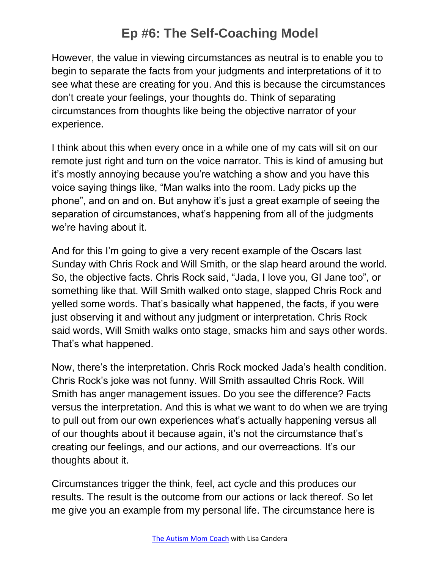However, the value in viewing circumstances as neutral is to enable you to begin to separate the facts from your judgments and interpretations of it to see what these are creating for you. And this is because the circumstances don't create your feelings, your thoughts do. Think of separating circumstances from thoughts like being the objective narrator of your experience.

I think about this when every once in a while one of my cats will sit on our remote just right and turn on the voice narrator. This is kind of amusing but it's mostly annoying because you're watching a show and you have this voice saying things like, "Man walks into the room. Lady picks up the phone", and on and on. But anyhow it's just a great example of seeing the separation of circumstances, what's happening from all of the judgments we're having about it.

And for this I'm going to give a very recent example of the Oscars last Sunday with Chris Rock and Will Smith, or the slap heard around the world. So, the objective facts. Chris Rock said, "Jada, I love you, GI Jane too", or something like that. Will Smith walked onto stage, slapped Chris Rock and yelled some words. That's basically what happened, the facts, if you were just observing it and without any judgment or interpretation. Chris Rock said words, Will Smith walks onto stage, smacks him and says other words. That's what happened.

Now, there's the interpretation. Chris Rock mocked Jada's health condition. Chris Rock's joke was not funny. Will Smith assaulted Chris Rock. Will Smith has anger management issues. Do you see the difference? Facts versus the interpretation. And this is what we want to do when we are trying to pull out from our own experiences what's actually happening versus all of our thoughts about it because again, it's not the circumstance that's creating our feelings, and our actions, and our overreactions. It's our thoughts about it.

Circumstances trigger the think, feel, act cycle and this produces our results. The result is the outcome from our actions or lack thereof. So let me give you an example from my personal life. The circumstance here is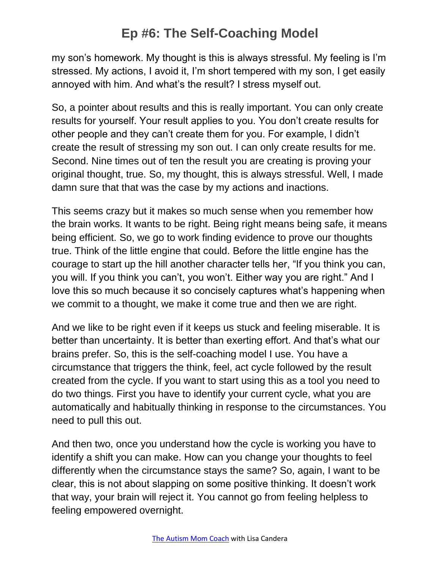my son's homework. My thought is this is always stressful. My feeling is I'm stressed. My actions, I avoid it, I'm short tempered with my son, I get easily annoyed with him. And what's the result? I stress myself out.

So, a pointer about results and this is really important. You can only create results for yourself. Your result applies to you. You don't create results for other people and they can't create them for you. For example, I didn't create the result of stressing my son out. I can only create results for me. Second. Nine times out of ten the result you are creating is proving your original thought, true. So, my thought, this is always stressful. Well, I made damn sure that that was the case by my actions and inactions.

This seems crazy but it makes so much sense when you remember how the brain works. It wants to be right. Being right means being safe, it means being efficient. So, we go to work finding evidence to prove our thoughts true. Think of the little engine that could. Before the little engine has the courage to start up the hill another character tells her, "If you think you can, you will. If you think you can't, you won't. Either way you are right." And I love this so much because it so concisely captures what's happening when we commit to a thought, we make it come true and then we are right.

And we like to be right even if it keeps us stuck and feeling miserable. It is better than uncertainty. It is better than exerting effort. And that's what our brains prefer. So, this is the self-coaching model I use. You have a circumstance that triggers the think, feel, act cycle followed by the result created from the cycle. If you want to start using this as a tool you need to do two things. First you have to identify your current cycle, what you are automatically and habitually thinking in response to the circumstances. You need to pull this out.

And then two, once you understand how the cycle is working you have to identify a shift you can make. How can you change your thoughts to feel differently when the circumstance stays the same? So, again, I want to be clear, this is not about slapping on some positive thinking. It doesn't work that way, your brain will reject it. You cannot go from feeling helpless to feeling empowered overnight.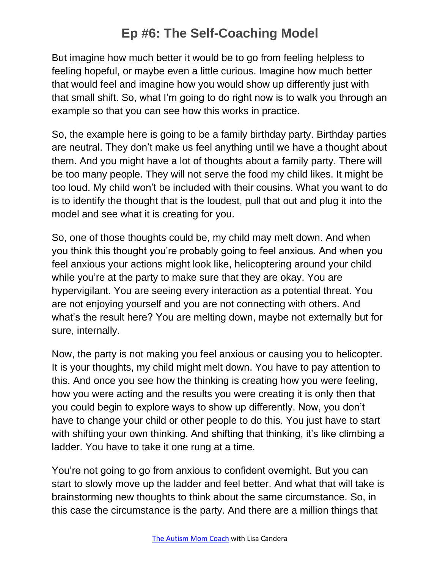But imagine how much better it would be to go from feeling helpless to feeling hopeful, or maybe even a little curious. Imagine how much better that would feel and imagine how you would show up differently just with that small shift. So, what I'm going to do right now is to walk you through an example so that you can see how this works in practice.

So, the example here is going to be a family birthday party. Birthday parties are neutral. They don't make us feel anything until we have a thought about them. And you might have a lot of thoughts about a family party. There will be too many people. They will not serve the food my child likes. It might be too loud. My child won't be included with their cousins. What you want to do is to identify the thought that is the loudest, pull that out and plug it into the model and see what it is creating for you.

So, one of those thoughts could be, my child may melt down. And when you think this thought you're probably going to feel anxious. And when you feel anxious your actions might look like, helicoptering around your child while you're at the party to make sure that they are okay. You are hypervigilant. You are seeing every interaction as a potential threat. You are not enjoying yourself and you are not connecting with others. And what's the result here? You are melting down, maybe not externally but for sure, internally.

Now, the party is not making you feel anxious or causing you to helicopter. It is your thoughts, my child might melt down. You have to pay attention to this. And once you see how the thinking is creating how you were feeling, how you were acting and the results you were creating it is only then that you could begin to explore ways to show up differently. Now, you don't have to change your child or other people to do this. You just have to start with shifting your own thinking. And shifting that thinking, it's like climbing a ladder. You have to take it one rung at a time.

You're not going to go from anxious to confident overnight. But you can start to slowly move up the ladder and feel better. And what that will take is brainstorming new thoughts to think about the same circumstance. So, in this case the circumstance is the party. And there are a million things that